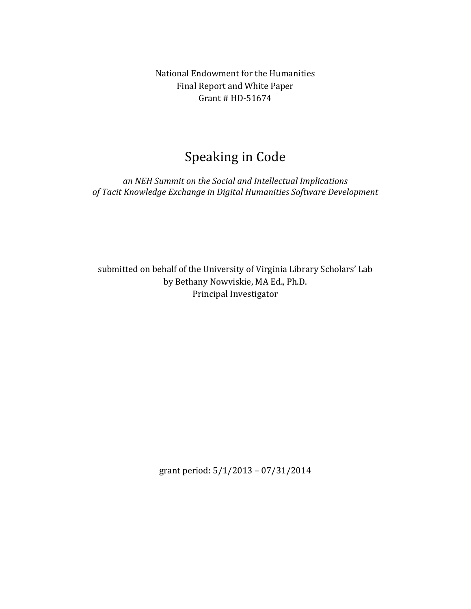National Endowment for the Humanities Final Report and White Paper Grant  $#$  HD-51674

# Speaking in Code

an *NEH* Summit on the Social and Intellectual Implications of Tacit Knowledge Exchange in Digital Humanities Software Development

submitted on behalf of the University of Virginia Library Scholars' Lab by Bethany Nowviskie, MA Ed., Ph.D. Principal Investigator

grant period:  $5/1/2013 - 07/31/2014$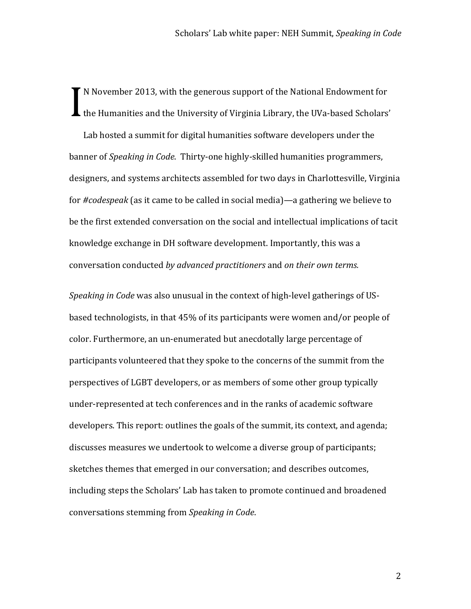N November 2013, with the generous support of the National Endowment for If the Humanities and the University of Virginia Library, the UVa-based Scholars' I

Lab hosted a summit for digital humanities software developers under the banner of *Speaking in Code*. Thirty-one highly-skilled humanities programmers, designers, and systems architects assembled for two days in Charlottesville, Virginia for #codespeak (as it came to be called in social media)—a gathering we believe to be the first extended conversation on the social and intellectual implications of tacit knowledge exchange in DH software development. Importantly, this was a conversation conducted by advanced practitioners and on their own terms.

*Speaking in Code* was also unusual in the context of high-level gatherings of USbased technologists, in that 45% of its participants were women and/or people of color. Furthermore, an un-enumerated but anecdotally large percentage of participants volunteered that they spoke to the concerns of the summit from the perspectives of LGBT developers, or as members of some other group typically under-represented at tech conferences and in the ranks of academic software developers. This report: outlines the goals of the summit, its context, and agenda; discusses measures we undertook to welcome a diverse group of participants; sketches themes that emerged in our conversation; and describes outcomes, including steps the Scholars' Lab has taken to promote continued and broadened conversations stemming from *Speaking in Code*.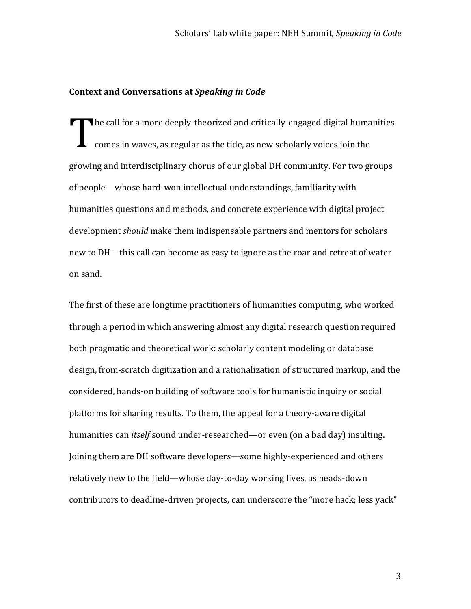### **Context and Conversations at Speaking in Code**

The call for a more deeply-theorized and critically-engaged digital humanities comes in waves, as regular as the tide, as new scholarly voices join the growing and interdisciplinary chorus of our global DH community. For two groups of people—whose hard-won intellectual understandings, familiarity with humanities questions and methods, and concrete experience with digital project development *should* make them indispensable partners and mentors for scholars new to DH—this call can become as easy to ignore as the roar and retreat of water on sand. T

The first of these are longtime practitioners of humanities computing, who worked through a period in which answering almost any digital research question required both pragmatic and theoretical work: scholarly content modeling or database design, from-scratch digitization and a rationalization of structured markup, and the considered, hands-on building of software tools for humanistic inquiry or social platforms for sharing results. To them, the appeal for a theory-aware digital humanities can *itself* sound under-researched—or even (on a bad day) insulting. Joining them are DH software developers—some highly-experienced and others relatively new to the field—whose day-to-day working lives, as heads-down contributors to deadline-driven projects, can underscore the "more hack; less yack"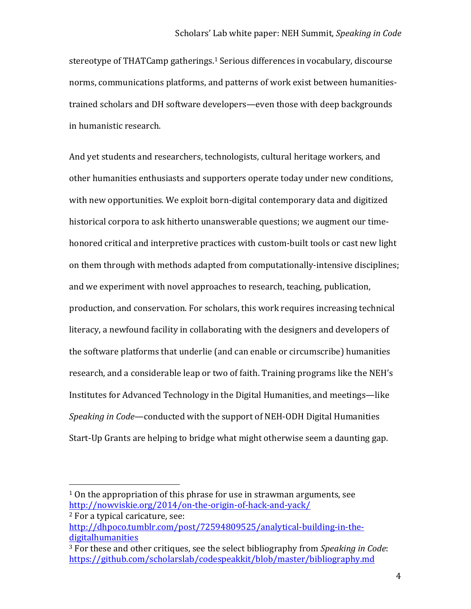stereotype of THATCamp gatherings.<sup>1</sup> Serious differences in vocabulary, discourse norms, communications platforms, and patterns of work exist between humanitiestrained scholars and DH software developers—even those with deep backgrounds in humanistic research.

And yet students and researchers, technologists, cultural heritage workers, and other humanities enthusiasts and supporters operate today under new conditions, with new opportunities. We exploit born-digital contemporary data and digitized historical corpora to ask hitherto unanswerable questions; we augment our timehonored critical and interpretive practices with custom-built tools or cast new light on them through with methods adapted from computationally-intensive disciplines; and we experiment with novel approaches to research, teaching, publication, production, and conservation. For scholars, this work requires increasing technical literacy, a newfound facility in collaborating with the designers and developers of the software platforms that underlie (and can enable or circumscribe) humanities research, and a considerable leap or two of faith. Training programs like the NEH's Institutes for Advanced Technology in the Digital Humanities, and meetings—like *Speaking in Code*—conducted with the support of NEH-ODH Digital Humanities Start-Up Grants are helping to bridge what might otherwise seem a daunting gap.

 $1$  On the appropriation of this phrase for use in strawman arguments, see http://nowviskie.org/2014/on-the-origin-of-hack-and-yack/

<sup>&</sup>lt;sup>2</sup> For a typical caricature, see: http://dhpoco.tumblr.com/post/72594809525/analytical-building-in-thedigitalhumanities

<sup>&</sup>lt;sup>3</sup> For these and other critiques, see the select bibliography from *Speaking in Code*: https://github.com/scholarslab/codespeakkit/blob/master/bibliography.md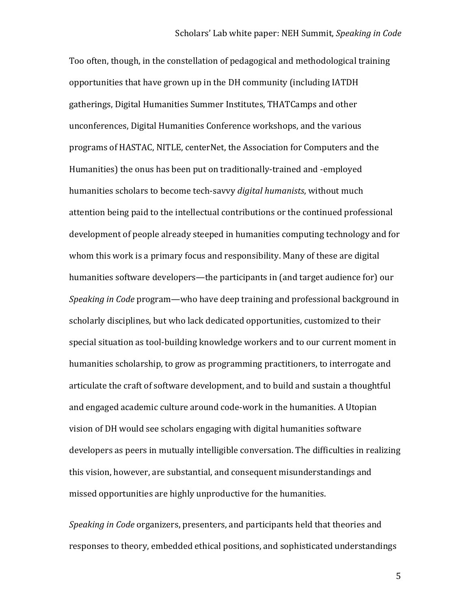Too often, though, in the constellation of pedagogical and methodological training opportunities that have grown up in the DH community (including IATDH gatherings, Digital Humanities Summer Institutes, THATCamps and other unconferences, Digital Humanities Conference workshops, and the various programs of HASTAC, NITLE, centerNet, the Association for Computers and the Humanities) the onus has been put on traditionally-trained and -employed humanities scholars to become tech-savvy *digital humanists*, without much attention being paid to the intellectual contributions or the continued professional development of people already steeped in humanities computing technology and for whom this work is a primary focus and responsibility. Many of these are digital humanities software developers—the participants in (and target audience for) our *Speaking in Code* program—who have deep training and professional background in scholarly disciplines, but who lack dedicated opportunities, customized to their special situation as tool-building knowledge workers and to our current moment in humanities scholarship, to grow as programming practitioners, to interrogate and articulate the craft of software development, and to build and sustain a thoughtful and engaged academic culture around code-work in the humanities. A Utopian vision of DH would see scholars engaging with digital humanities software developers as peers in mutually intelligible conversation. The difficulties in realizing this vision, however, are substantial, and consequent misunderstandings and missed opportunities are highly unproductive for the humanities.

*Speaking in Code* organizers, presenters, and participants held that theories and responses to theory, embedded ethical positions, and sophisticated understandings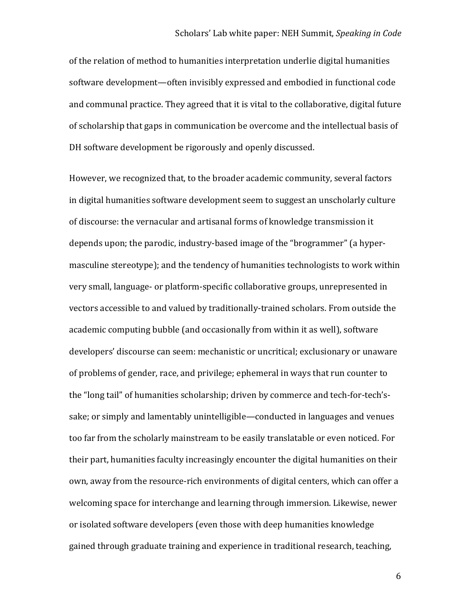of the relation of method to humanities interpretation underlie digital humanities software development—often invisibly expressed and embodied in functional code and communal practice. They agreed that it is vital to the collaborative, digital future of scholarship that gaps in communication be overcome and the intellectual basis of DH software development be rigorously and openly discussed.

However, we recognized that, to the broader academic community, several factors in digital humanities software development seem to suggest an unscholarly culture of discourse: the vernacular and artisanal forms of knowledge transmission it depends upon; the parodic, industry-based image of the "brogrammer" (a hypermasculine stereotype); and the tendency of humanities technologists to work within very small, language- or platform-specific collaborative groups, unrepresented in vectors accessible to and valued by traditionally-trained scholars. From outside the academic computing bubble (and occasionally from within it as well), software developers' discourse can seem: mechanistic or uncritical; exclusionary or unaware of problems of gender, race, and privilege; ephemeral in ways that run counter to the "long tail" of humanities scholarship; driven by commerce and tech-for-tech'ssake; or simply and lamentably unintelligible—conducted in languages and venues too far from the scholarly mainstream to be easily translatable or even noticed. For their part, humanities faculty increasingly encounter the digital humanities on their own, away from the resource-rich environments of digital centers, which can offer a welcoming space for interchange and learning through immersion. Likewise, newer or isolated software developers (even those with deep humanities knowledge gained through graduate training and experience in traditional research, teaching,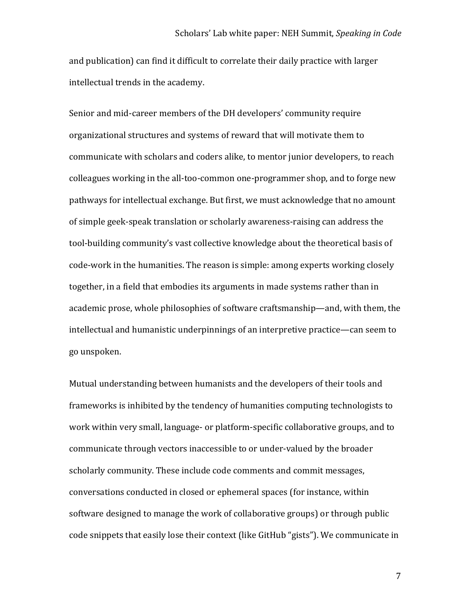#### Scholars' Lab white paper: NEH Summit, *Speaking in Code*

and publication) can find it difficult to correlate their daily practice with larger intellectual trends in the academy.

Senior and mid-career members of the DH developers' community require organizational structures and systems of reward that will motivate them to communicate with scholars and coders alike, to mentor junior developers, to reach colleagues working in the all-too-common one-programmer shop, and to forge new pathways for intellectual exchange. But first, we must acknowledge that no amount of simple geek-speak translation or scholarly awareness-raising can address the tool-building community's vast collective knowledge about the theoretical basis of code-work in the humanities. The reason is simple: among experts working closely together, in a field that embodies its arguments in made systems rather than in academic prose, whole philosophies of software craftsmanship—and, with them, the intellectual and humanistic underpinnings of an interpretive practice—can seem to go unspoken.

Mutual understanding between humanists and the developers of their tools and frameworks is inhibited by the tendency of humanities computing technologists to work within very small, language- or platform-specific collaborative groups, and to communicate through vectors inaccessible to or under-valued by the broader scholarly community. These include code comments and commit messages, conversations conducted in closed or ephemeral spaces (for instance, within software designed to manage the work of collaborative groups) or through public code snippets that easily lose their context (like GitHub "gists"). We communicate in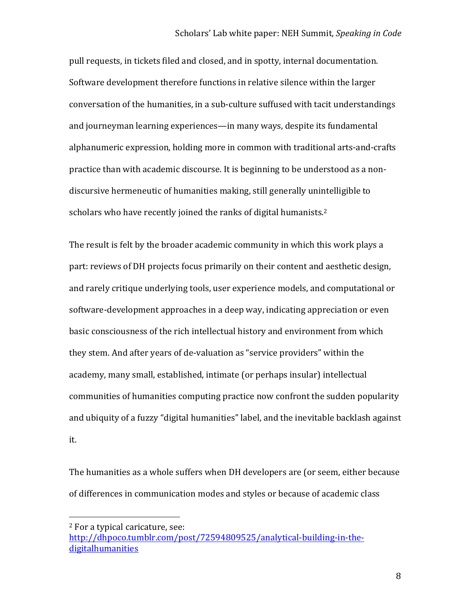pull requests, in tickets filed and closed, and in spotty, internal documentation. Software development therefore functions in relative silence within the larger conversation of the humanities, in a sub-culture suffused with tacit understandings and journeyman learning experiences—in many ways, despite its fundamental alphanumeric expression, holding more in common with traditional arts-and-crafts practice than with academic discourse. It is beginning to be understood as a nondiscursive hermeneutic of humanities making, still generally unintelligible to scholars who have recently joined the ranks of digital humanists. $2^2$ 

The result is felt by the broader academic community in which this work plays a part: reviews of DH projects focus primarily on their content and aesthetic design, and rarely critique underlying tools, user experience models, and computational or software-development approaches in a deep way, indicating appreciation or even basic consciousness of the rich intellectual history and environment from which they stem. And after years of de-valuation as "service providers" within the academy, many small, established, intimate (or perhaps insular) intellectual communities of humanities computing practice now confront the sudden popularity and ubiquity of a fuzzy "digital humanities" label, and the inevitable backlash against it. 

The humanities as a whole suffers when DH developers are (or seem, either because of differences in communication modes and styles or because of academic class

 <sup>2</sup> For a typical caricature, see:

http://dhpoco.tumblr.com/post/72594809525/analytical-building-in-thedigitalhumanities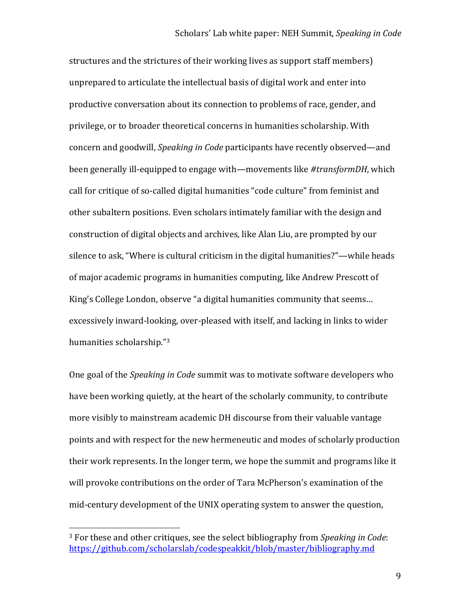structures and the strictures of their working lives as support staff members) unprepared to articulate the intellectual basis of digital work and enter into productive conversation about its connection to problems of race, gender, and privilege, or to broader theoretical concerns in humanities scholarship. With concern and goodwill, *Speaking in Code* participants have recently observed—and been generally ill-equipped to engage with—movements like #transformDH, which call for critique of so-called digital humanities "code culture" from feminist and other subaltern positions. Even scholars intimately familiar with the design and construction of digital objects and archives, like Alan Liu, are prompted by our silence to ask, "Where is cultural criticism in the digital humanities?"—while heads of major academic programs in humanities computing, like Andrew Prescott of King's College London, observe "a digital humanities community that seems... excessively inward-looking, over-pleased with itself, and lacking in links to wider humanities scholarship."3

One goal of the *Speaking in Code* summit was to motivate software developers who have been working quietly, at the heart of the scholarly community, to contribute more visibly to mainstream academic DH discourse from their valuable vantage points and with respect for the new hermeneutic and modes of scholarly production their work represents. In the longer term, we hope the summit and programs like it will provoke contributions on the order of Tara McPherson's examination of the mid-century development of the UNIX operating system to answer the question,

<sup>&</sup>lt;sup>3</sup> For these and other critiques, see the select bibliography from *Speaking in Code*: https://github.com/scholarslab/codespeakkit/blob/master/bibliography.md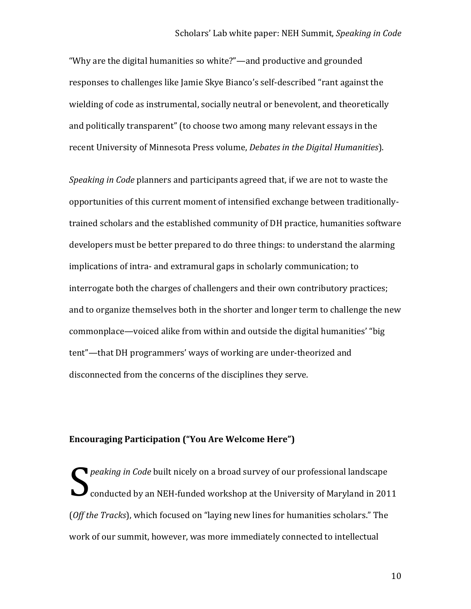#### Scholars' Lab white paper: NEH Summit, *Speaking in Code*

"Why are the digital humanities so white?"—and productive and grounded responses to challenges like Jamie Skye Bianco's self-described "rant against the wielding of code as instrumental, socially neutral or benevolent, and theoretically and politically transparent" (to choose two among many relevant essays in the recent University of Minnesota Press volume, *Debates in the Digital Humanities*).

*Speaking in Code* planners and participants agreed that, if we are not to waste the opportunities of this current moment of intensified exchange between traditionallytrained scholars and the established community of DH practice, humanities software developers must be better prepared to do three things: to understand the alarming implications of intra- and extramural gaps in scholarly communication; to interrogate both the charges of challengers and their own contributory practices; and to organize themselves both in the shorter and longer term to challenge the new commonplace—voiced alike from within and outside the digital humanities' "big tent"—that DH programmers' ways of working are under-theorized and disconnected from the concerns of the disciplines they serve.

## **Encouraging Participation ("You Are Welcome Here")**

*Peaking in Code* built nicely on a broad survey of our professional landscape conducted by an NEH-funded workshop at the University of Maryland in 2011 (*Off* the *Tracks*), which focused on "laying new lines for humanities scholars." The work of our summit, however, was more immediately connected to intellectual S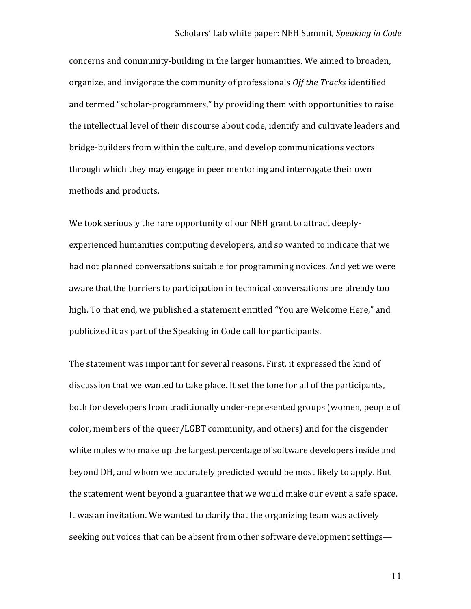concerns and community-building in the larger humanities. We aimed to broaden, organize, and invigorate the community of professionals *Off the Tracks* identified and termed "scholar-programmers," by providing them with opportunities to raise the intellectual level of their discourse about code, identify and cultivate leaders and bridge-builders from within the culture, and develop communications vectors through which they may engage in peer mentoring and interrogate their own methods and products.

We took seriously the rare opportunity of our NEH grant to attract deeplyexperienced humanities computing developers, and so wanted to indicate that we had not planned conversations suitable for programming novices. And yet we were aware that the barriers to participation in technical conversations are already too high. To that end, we published a statement entitled "You are Welcome Here," and publicized it as part of the Speaking in Code call for participants.

The statement was important for several reasons. First, it expressed the kind of discussion that we wanted to take place. It set the tone for all of the participants, both for developers from traditionally under-represented groups (women, people of color, members of the queer/LGBT community, and others) and for the cisgender white males who make up the largest percentage of software developers inside and beyond DH, and whom we accurately predicted would be most likely to apply. But the statement went beyond a guarantee that we would make our event a safe space. It was an invitation. We wanted to clarify that the organizing team was actively seeking out voices that can be absent from other software development settings—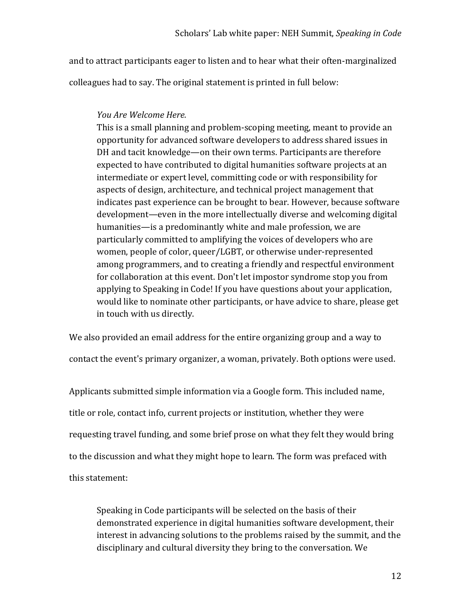and to attract participants eager to listen and to hear what their often-marginalized

colleagues had to say. The original statement is printed in full below:

## *You Are Welcome Here.*

This is a small planning and problem-scoping meeting, meant to provide an opportunity for advanced software developers to address shared issues in DH and tacit knowledge—on their own terms. Participants are therefore expected to have contributed to digital humanities software projects at an intermediate or expert level, committing code or with responsibility for aspects of design, architecture, and technical project management that indicates past experience can be brought to bear. However, because software development—even in the more intellectually diverse and welcoming digital humanities—is a predominantly white and male profession, we are particularly committed to amplifying the voices of developers who are women, people of color, queer/LGBT, or otherwise under-represented among programmers, and to creating a friendly and respectful environment for collaboration at this event. Don't let impostor syndrome stop you from applying to Speaking in Code! If you have questions about your application, would like to nominate other participants, or have advice to share, please get in touch with us directly.

We also provided an email address for the entire organizing group and a way to contact the event's primary organizer, a woman, privately. Both options were used.

Applicants submitted simple information via a Google form. This included name, title or role, contact info, current projects or institution, whether they were requesting travel funding, and some brief prose on what they felt they would bring to the discussion and what they might hope to learn. The form was prefaced with this statement:

Speaking in Code participants will be selected on the basis of their demonstrated experience in digital humanities software development, their interest in advancing solutions to the problems raised by the summit, and the disciplinary and cultural diversity they bring to the conversation. We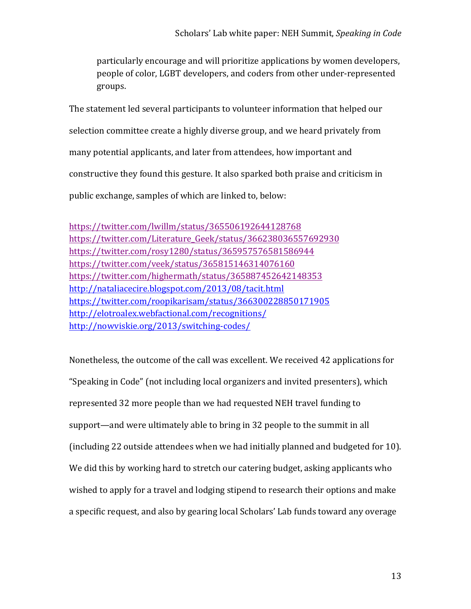particularly encourage and will prioritize applications by women developers, people of color, LGBT developers, and coders from other under-represented groups.

The statement led several participants to volunteer information that helped our selection committee create a highly diverse group, and we heard privately from many potential applicants, and later from attendees, how important and constructive they found this gesture. It also sparked both praise and criticism in public exchange, samples of which are linked to, below:

https://twitter.com/lwillm/status/365506192644128768 https://twitter.com/Literature\_Geek/status/366238036557692930 https://twitter.com/rosy1280/status/365957576581586944 https://twitter.com/veek/status/365815146314076160 https://twitter.com/highermath/status/365887452642148353 http://nataliacecire.blogspot.com/2013/08/tacit.html https://twitter.com/roopikarisam/status/366300228850171905 http://elotroalex.webfactional.com/recognitions/ http://nowviskie.org/2013/switching-codes/

Nonetheless, the outcome of the call was excellent. We received 42 applications for "Speaking in Code" (not including local organizers and invited presenters), which represented 32 more people than we had requested NEH travel funding to support—and were ultimately able to bring in 32 people to the summit in all (including 22 outside attendees when we had initially planned and budgeted for 10). We did this by working hard to stretch our catering budget, asking applicants who wished to apply for a travel and lodging stipend to research their options and make a specific request, and also by gearing local Scholars' Lab funds toward any overage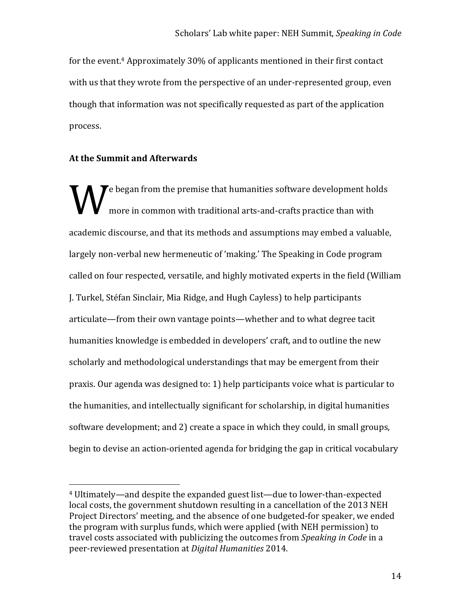for the event.<sup>4</sup> Approximately 30% of applicants mentioned in their first contact with us that they wrote from the perspective of an under-represented group, even though that information was not specifically requested as part of the application process.

### **At the Summit and Afterwards**

 

**Example 1** ( $\bf{V}$  e began from the premise that humanities software development holds more in common with traditional arts-and-crafts practice than with more in common with traditional arts-and-crafts practice than with academic discourse, and that its methods and assumptions may embed a valuable, largely non-verbal new hermeneutic of 'making.' The Speaking in Code program called on four respected, versatile, and highly motivated experts in the field (William J. Turkel, Stéfan Sinclair, Mia Ridge, and Hugh Cayless) to help participants articulate—from their own vantage points—whether and to what degree tacit humanities knowledge is embedded in developers' craft, and to outline the new scholarly and methodological understandings that may be emergent from their praxis. Our agenda was designed to: 1) help participants voice what is particular to the humanities, and intellectually significant for scholarship, in digital humanities software development; and 2) create a space in which they could, in small groups, begin to devise an action-oriented agenda for bridging the gap in critical vocabulary

 $4$  Ultimately—and despite the expanded guest list—due to lower-than-expected local costs, the government shutdown resulting in a cancellation of the 2013 NEH Project Directors' meeting, and the absence of one budgeted-for speaker, we ended the program with surplus funds, which were applied (with NEH permission) to travel costs associated with publicizing the outcomes from *Speaking in Code* in a peer-reviewed presentation at *Digital Humanities* 2014.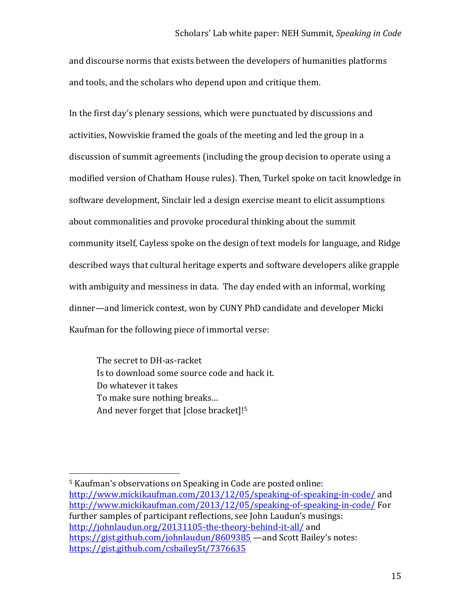#### Scholars' Lab white paper: NEH Summit, *Speaking in Code*

and discourse norms that exists between the developers of humanities platforms and tools, and the scholars who depend upon and critique them.

In the first day's plenary sessions, which were punctuated by discussions and activities, Nowviskie framed the goals of the meeting and led the group in a discussion of summit agreements (including the group decision to operate using a modified version of Chatham House rules). Then, Turkel spoke on tacit knowledge in software development, Sinclair led a design exercise meant to elicit assumptions about commonalities and provoke procedural thinking about the summit community itself, Cayless spoke on the design of text models for language, and Ridge described ways that cultural heritage experts and software developers alike grapple with ambiguity and messiness in data. The day ended with an informal, working dinner—and limerick contest, won by CUNY PhD candidate and developer Micki Kaufman for the following piece of immortal verse:

The secret to DH-as-racket Is to download some source code and hack it. Do whatever it takes To make sure nothing breaks... And never forget that  $[close\ bracket]$ <sup>[5]</sup>

<sup>&</sup>lt;sup>5</sup> Kaufman's observations on Speaking in Code are posted online: http://www.mickikaufman.com/2013/12/05/speaking-of-speaking-in-code/ and http://www.mickikaufman.com/2013/12/05/speaking-of-speaking-in-code/ For further samples of participant reflections, see John Laudun's musings: http://johnlaudun.org/20131105-the-theory-behind-it-all/ and https://gist.github.com/johnlaudun/8609385 —and Scott Bailey's notes: https://gist.github.com/csbailey5t/7376635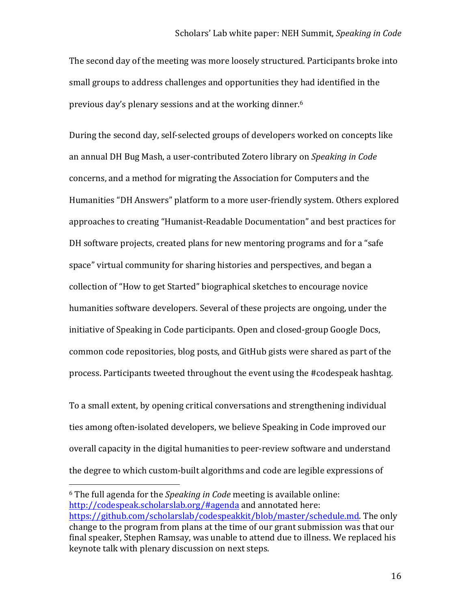The second day of the meeting was more loosely structured. Participants broke into small groups to address challenges and opportunities they had identified in the previous day's plenary sessions and at the working dinner.<sup>6</sup>

During the second day, self-selected groups of developers worked on concepts like an annual DH Bug Mash, a user-contributed Zotero library on *Speaking in Code* concerns, and a method for migrating the Association for Computers and the Humanities "DH Answers" platform to a more user-friendly system. Others explored approaches to creating "Humanist-Readable Documentation" and best practices for DH software projects, created plans for new mentoring programs and for a "safe" space" virtual community for sharing histories and perspectives, and began a collection of "How to get Started" biographical sketches to encourage novice humanities software developers. Several of these projects are ongoing, under the initiative of Speaking in Code participants. Open and closed-group Google Docs, common code repositories, blog posts, and GitHub gists were shared as part of the process. Participants tweeted throughout the event using the #codespeak hashtag.

To a small extent, by opening critical conversations and strengthening individual ties among often-isolated developers, we believe Speaking in Code improved our overall capacity in the digital humanities to peer-review software and understand the degree to which custom-built algorithms and code are legible expressions of

<sup>&</sup>lt;sup>6</sup> The full agenda for the *Speaking in Code* meeting is available online: http://codespeak.scholarslab.org/#agenda and annotated here: https://github.com/scholarslab/codespeakkit/blob/master/schedule.md. The only change to the program from plans at the time of our grant submission was that our final speaker, Stephen Ramsay, was unable to attend due to illness. We replaced his keynote talk with plenary discussion on next steps.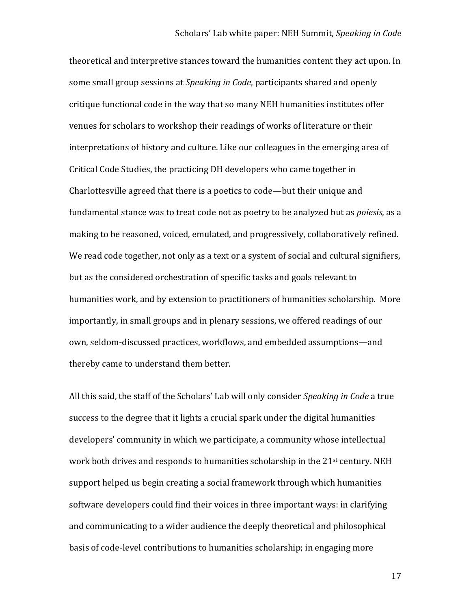theoretical and interpretive stances toward the humanities content they act upon. In some small group sessions at *Speaking in Code*, participants shared and openly critique functional code in the way that so many NEH humanities institutes offer venues for scholars to workshop their readings of works of literature or their interpretations of history and culture. Like our colleagues in the emerging area of Critical Code Studies, the practicing DH developers who came together in Charlottesville agreed that there is a poetics to code—but their unique and fundamental stance was to treat code not as poetry to be analyzed but as *poiesis*, as a making to be reasoned, voiced, emulated, and progressively, collaboratively refined. We read code together, not only as a text or a system of social and cultural signifiers, but as the considered orchestration of specific tasks and goals relevant to humanities work, and by extension to practitioners of humanities scholarship. More importantly, in small groups and in plenary sessions, we offered readings of our own, seldom-discussed practices, workflows, and embedded assumptions—and thereby came to understand them better.

All this said, the staff of the Scholars' Lab will only consider *Speaking in Code* a true success to the degree that it lights a crucial spark under the digital humanities developers' community in which we participate, a community whose intellectual work both drives and responds to humanities scholarship in the  $21<sup>st</sup>$  century. NEH support helped us begin creating a social framework through which humanities software developers could find their voices in three important ways: in clarifying and communicating to a wider audience the deeply theoretical and philosophical basis of code-level contributions to humanities scholarship; in engaging more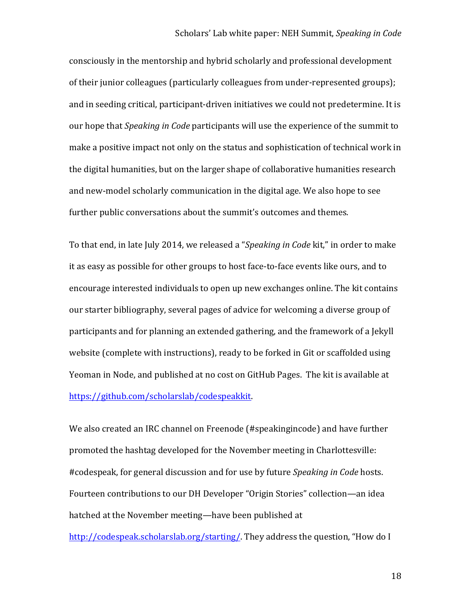consciously in the mentorship and hybrid scholarly and professional development of their junior colleagues (particularly colleagues from under-represented groups); and in seeding critical, participant-driven initiatives we could not predetermine. It is our hope that *Speaking in Code* participants will use the experience of the summit to make a positive impact not only on the status and sophistication of technical work in the digital humanities, but on the larger shape of collaborative humanities research and new-model scholarly communication in the digital age. We also hope to see further public conversations about the summit's outcomes and themes.

To that end, in late July 2014, we released a "*Speaking in Code* kit," in order to make it as easy as possible for other groups to host face-to-face events like ours, and to encourage interested individuals to open up new exchanges online. The kit contains our starter bibliography, several pages of advice for welcoming a diverse group of participants and for planning an extended gathering, and the framework of a Jekyll website (complete with instructions), ready to be forked in Git or scaffolded using Yeoman in Node, and published at no cost on GitHub Pages. The kit is available at https://github.com/scholarslab/codespeakkit. 

We also created an IRC channel on Freenode (#speakingincode) and have further promoted the hashtag developed for the November meeting in Charlottesville: #codespeak, for general discussion and for use by future *Speaking in Code* hosts. Fourteen contributions to our DH Developer "Origin Stories" collection—an idea hatched at the November meeting—have been published at http://codespeak.scholarslab.org/starting/. They address the question, "How do I